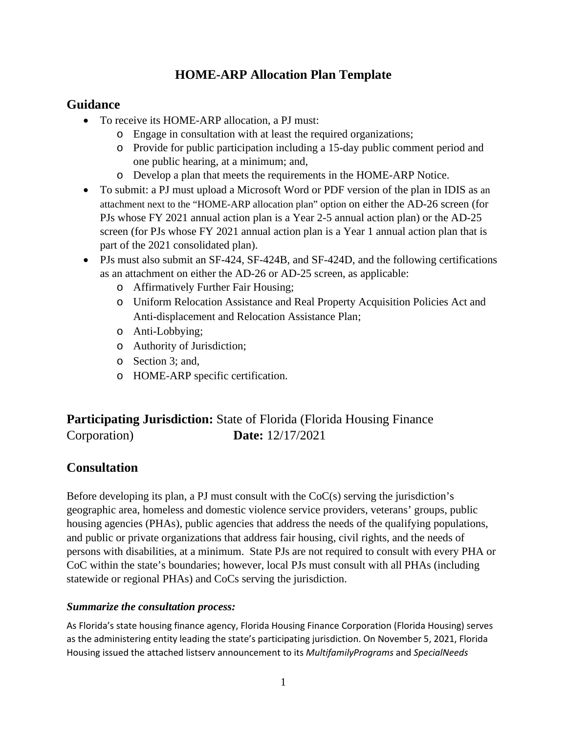## **HOME-ARP Allocation Plan Template**

## **Guidance**

- To receive its HOME-ARP allocation, a PJ must:
	- o Engage in consultation with at least the required organizations;
	- o Provide for public participation including a 15-day public comment period and one public hearing, at a minimum; and,
	- o Develop a plan that meets the requirements in the HOME-ARP Notice.
- To submit: a PJ must upload a Microsoft Word or PDF version of the plan in IDIS as an attachment next to the "HOME-ARP allocation plan" option on either the AD-26 screen (for PJs whose FY 2021 annual action plan is a Year 2-5 annual action plan) or the AD-25 screen (for PJs whose FY 2021 annual action plan is a Year 1 annual action plan that is part of the 2021 consolidated plan).
- PJs must also submit an SF-424, SF-424B, and SF-424D, and the following certifications as an attachment on either the AD-26 or AD-25 screen, as applicable:
	- o Affirmatively Further Fair Housing;
	- o Uniform Relocation Assistance and Real Property Acquisition Policies Act and Anti-displacement and Relocation Assistance Plan;
	- o Anti-Lobbying;
	- o Authority of Jurisdiction;
	- o Section 3; and,
	- o HOME-ARP specific certification.

# **Participating Jurisdiction:** State of Florida (Florida Housing Finance) Corporation) **Date:** 12/17/2021

## **Consultation**

Before developing its plan, a PJ must consult with the  $CoC(s)$  serving the jurisdiction's geographic area, homeless and domestic violence service providers, veterans' groups, public housing agencies (PHAs), public agencies that address the needs of the qualifying populations, and public or private organizations that address fair housing, civil rights, and the needs of persons with disabilities, at a minimum. State PJs are not required to consult with every PHA or CoC within the state's boundaries; however, local PJs must consult with all PHAs (including statewide or regional PHAs) and CoCs serving the jurisdiction.

#### *Summarize the consultation process:*

As Florida's state housing finance agency, Florida Housing Finance Corporation (Florida Housing) serves as the administering entity leading the state's participating jurisdiction. On November 5, 2021, Florida Housing issued the attached listserv announcement to its *MultifamilyPrograms* and *SpecialNeeds*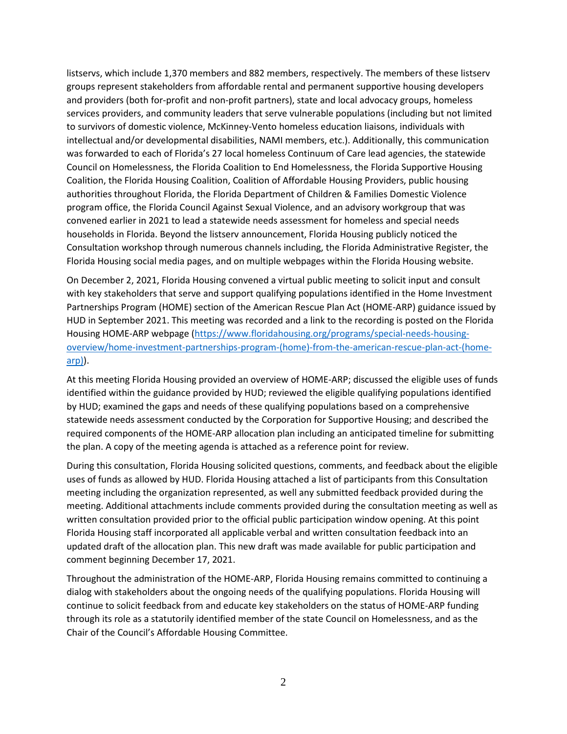listservs, which include 1,370 members and 882 members, respectively. The members of these listserv groups represent stakeholders from affordable rental and permanent supportive housing developers and providers (both for-profit and non-profit partners), state and local advocacy groups, homeless services providers, and community leaders that serve vulnerable populations (including but not limited to survivors of domestic violence, McKinney-Vento homeless education liaisons, individuals with intellectual and/or developmental disabilities, NAMI members, etc.). Additionally, this communication was forwarded to each of Florida's 27 local homeless Continuum of Care lead agencies, the statewide Council on Homelessness, the Florida Coalition to End Homelessness, the Florida Supportive Housing Coalition, the Florida Housing Coalition, Coalition of Affordable Housing Providers, public housing authorities throughout Florida, the Florida Department of Children & Families Domestic Violence program office, the Florida Council Against Sexual Violence, and an advisory workgroup that was convened earlier in 2021 to lead a statewide needs assessment for homeless and special needs households in Florida. Beyond the listserv announcement, Florida Housing publicly noticed the Consultation workshop through numerous channels including, the Florida Administrative Register, the Florida Housing social media pages, and on multiple webpages within the Florida Housing website.

On December 2, 2021, Florida Housing convened a virtual public meeting to solicit input and consult with key stakeholders that serve and support qualifying populations identified in the Home Investment Partnerships Program (HOME) section of the American Rescue Plan Act (HOME-ARP) guidance issued by HUD in September 2021. This meeting was recorded and a link to the recording is posted on the Florida Housing HOME-ARP webpage [\(https://www.floridahousing.org/programs/special-needs-housing](https://www.floridahousing.org/programs/special-needs-housing-overview/home-investment-partnerships-program-(home)-from-the-american-rescue-plan-act-(home-arp))[overview/home-investment-partnerships-program-\(home\)-from-the-american-rescue-plan-act-\(home](https://www.floridahousing.org/programs/special-needs-housing-overview/home-investment-partnerships-program-(home)-from-the-american-rescue-plan-act-(home-arp))[arp\)\)](https://www.floridahousing.org/programs/special-needs-housing-overview/home-investment-partnerships-program-(home)-from-the-american-rescue-plan-act-(home-arp)).

At this meeting Florida Housing provided an overview of HOME-ARP; discussed the eligible uses of funds identified within the guidance provided by HUD; reviewed the eligible qualifying populations identified by HUD; examined the gaps and needs of these qualifying populations based on a comprehensive statewide needs assessment conducted by the Corporation for Supportive Housing; and described the required components of the HOME-ARP allocation plan including an anticipated timeline for submitting the plan. A copy of the meeting agenda is attached as a reference point for review.

During this consultation, Florida Housing solicited questions, comments, and feedback about the eligible uses of funds as allowed by HUD. Florida Housing attached a list of participants from this Consultation meeting including the organization represented, as well any submitted feedback provided during the meeting. Additional attachments include comments provided during the consultation meeting as well as written consultation provided prior to the official public participation window opening. At this point Florida Housing staff incorporated all applicable verbal and written consultation feedback into an updated draft of the allocation plan. This new draft was made available for public participation and comment beginning December 17, 2021.

Throughout the administration of the HOME-ARP, Florida Housing remains committed to continuing a dialog with stakeholders about the ongoing needs of the qualifying populations. Florida Housing will continue to solicit feedback from and educate key stakeholders on the status of HOME-ARP funding through its role as a statutorily identified member of the state Council on Homelessness, and as the Chair of the Council's Affordable Housing Committee.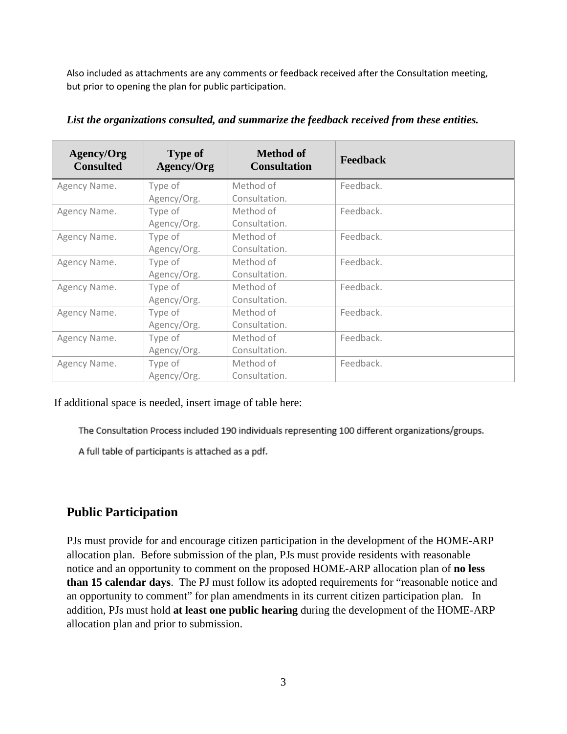Also included as attachments are any comments or feedback received after the Consultation meeting, but prior to opening the plan for public participation.

| <b>Agency/Org</b><br><b>Consulted</b> | <b>Type of</b><br>Agency/Org | <b>Method of</b><br><b>Consultation</b> | <b>Feedback</b> |
|---------------------------------------|------------------------------|-----------------------------------------|-----------------|
| Agency Name.                          | Type of                      | Method of                               | Feedback.       |
|                                       | Agency/Org.                  | Consultation.                           |                 |
| Agency Name.                          | Type of                      | Method of                               | Feedback.       |
|                                       | Agency/Org.                  | Consultation.                           |                 |
| Agency Name.                          | Type of                      | Method of                               | Feedback.       |
|                                       | Agency/Org.                  | Consultation.                           |                 |
| Agency Name.                          | Type of                      | Method of                               | Feedback.       |
|                                       | Agency/Org.                  | Consultation.                           |                 |
| Agency Name.                          | Type of                      | Method of                               | Feedback.       |
|                                       | Agency/Org.                  | Consultation.                           |                 |
| Agency Name.                          | Type of                      | Method of                               | Feedback.       |
|                                       | Agency/Org.                  | Consultation.                           |                 |
| Agency Name.                          | Type of                      | Method of                               | Feedback.       |
|                                       | Agency/Org.                  | Consultation.                           |                 |
| Agency Name.                          | Type of                      | Method of                               | Feedback.       |
|                                       | Agency/Org.                  | Consultation.                           |                 |

*List the organizations consulted, and summarize the feedback received from these entities.*

If additional space is needed, insert image of table here:

The Consultation Process included 190 individuals representing 100 different organizations/groups.

A full table of participants is attached as a pdf.

## **Public Participation**

PJs must provide for and encourage citizen participation in the development of the HOME-ARP allocation plan. Before submission of the plan, PJs must provide residents with reasonable notice and an opportunity to comment on the proposed HOME-ARP allocation plan of **no less than 15 calendar days**. The PJ must follow its adopted requirements for "reasonable notice and an opportunity to comment" for plan amendments in its current citizen participation plan. In addition, PJs must hold **at least one public hearing** during the development of the HOME-ARP allocation plan and prior to submission.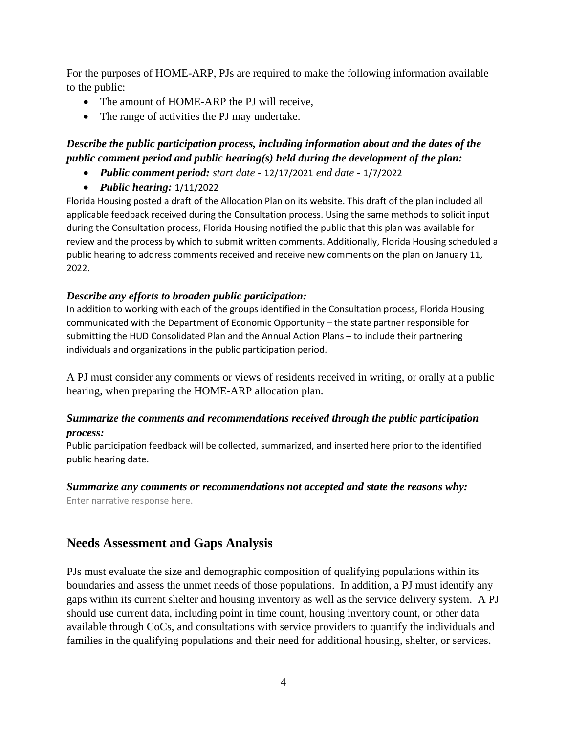For the purposes of HOME-ARP, PJs are required to make the following information available to the public:

- The amount of HOME-ARP the PJ will receive,
- The range of activities the PJ may undertake.

## *Describe the public participation process, including information about and the dates of the public comment period and public hearing(s) held during the development of the plan:*

- *Public comment period: start date -* 12/17/2021 *end date -* 1/7/2022
- *Public hearing:* 1/11/2022

Florida Housing posted a draft of the Allocation Plan on its website. This draft of the plan included all applicable feedback received during the Consultation process. Using the same methods to solicit input during the Consultation process, Florida Housing notified the public that this plan was available for review and the process by which to submit written comments. Additionally, Florida Housing scheduled a public hearing to address comments received and receive new comments on the plan on January 11, 2022.

## *Describe any efforts to broaden public participation:*

In addition to working with each of the groups identified in the Consultation process, Florida Housing communicated with the Department of Economic Opportunity – the state partner responsible for submitting the HUD Consolidated Plan and the Annual Action Plans – to include their partnering individuals and organizations in the public participation period.

A PJ must consider any comments or views of residents received in writing, or orally at a public hearing, when preparing the HOME-ARP allocation plan.

#### *Summarize the comments and recommendations received through the public participation process:*

Public participation feedback will be collected, summarized, and inserted here prior to the identified public hearing date.

#### *Summarize any comments or recommendations not accepted and state the reasons why:*

Enter narrative response here.

## **Needs Assessment and Gaps Analysis**

PJs must evaluate the size and demographic composition of qualifying populations within its boundaries and assess the unmet needs of those populations. In addition, a PJ must identify any gaps within its current shelter and housing inventory as well as the service delivery system. A PJ should use current data, including point in time count, housing inventory count, or other data available through CoCs, and consultations with service providers to quantify the individuals and families in the qualifying populations and their need for additional housing, shelter, or services.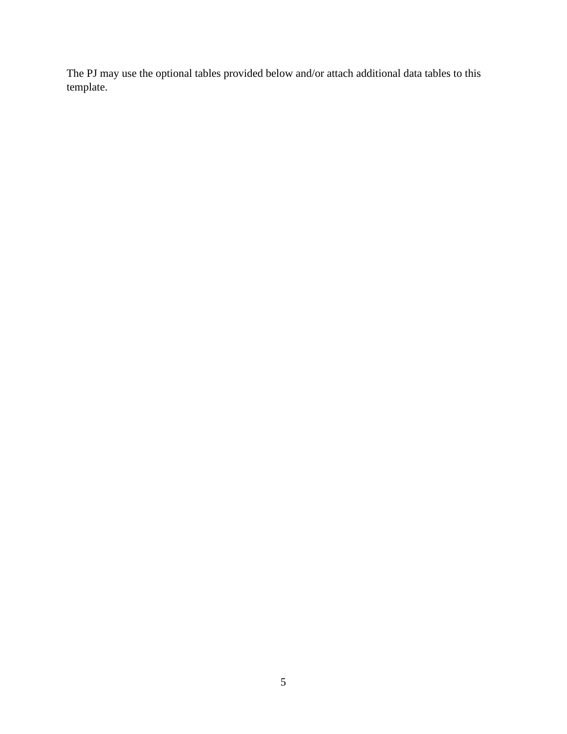The PJ may use the optional tables provided below and/or attach additional data tables to this template.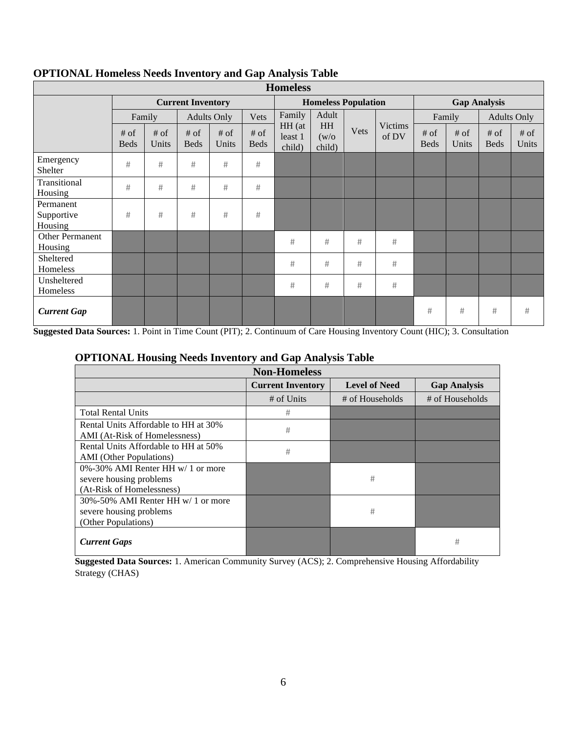| <b>Homeless</b>                    |                          |                 |                                               |               |                            |                             |                       |                     |                  |                       |                 |                       |               |
|------------------------------------|--------------------------|-----------------|-----------------------------------------------|---------------|----------------------------|-----------------------------|-----------------------|---------------------|------------------|-----------------------|-----------------|-----------------------|---------------|
|                                    | <b>Current Inventory</b> |                 |                                               |               | <b>Homeless Population</b> |                             |                       | <b>Gap Analysis</b> |                  |                       |                 |                       |               |
|                                    |                          | Family          | Adult<br>Family<br><b>Adults Only</b><br>Vets |               | Family                     |                             | <b>Adults Only</b>    |                     |                  |                       |                 |                       |               |
|                                    | $#$ of<br><b>Beds</b>    | $#$ of<br>Units | $#$ of<br><b>Beds</b>                         | # of<br>Units | $#$ of<br><b>Beds</b>      | HH (at<br>least 1<br>child) | HH<br>(w/o)<br>child) | Vets                | Victims<br>of DV | $#$ of<br><b>Beds</b> | $#$ of<br>Units | $#$ of<br><b>Beds</b> | # of<br>Units |
| Emergency<br>Shelter               | #                        | #               | $\#$                                          | #             | #                          |                             |                       |                     |                  |                       |                 |                       |               |
| Transitional<br>Housing            | #                        | #               | #                                             | #             | #                          |                             |                       |                     |                  |                       |                 |                       |               |
| Permanent<br>Supportive<br>Housing | $\#$                     | #               | #                                             | #             | #                          |                             |                       |                     |                  |                       |                 |                       |               |
| Other Permanent<br>Housing         |                          |                 |                                               |               |                            | #                           | #                     | #                   | #                |                       |                 |                       |               |
| Sheltered<br>Homeless              |                          |                 |                                               |               |                            | #                           | #                     | #                   | #                |                       |                 |                       |               |
| Unsheltered<br>Homeless            |                          |                 |                                               |               |                            | #                           | #                     | #                   | #                |                       |                 |                       |               |
| <b>Current Gap</b>                 |                          |                 |                                               |               |                            |                             |                       |                     |                  | #                     | #               | #                     | #             |

## **OPTIONAL Homeless Needs Inventory and Gap Analysis Table**

**Suggested Data Sources:** 1. Point in Time Count (PIT); 2. Continuum of Care Housing Inventory Count (HIC); 3. Consultation

#### **OPTIONAL Housing Needs Inventory and Gap Analysis Table**

| <b>Non-Homeless</b>                                                                       |                          |                      |                     |  |  |  |  |
|-------------------------------------------------------------------------------------------|--------------------------|----------------------|---------------------|--|--|--|--|
|                                                                                           | <b>Current Inventory</b> | <b>Level of Need</b> | <b>Gap Analysis</b> |  |  |  |  |
|                                                                                           | # of Units               | # of Households      | # of Households     |  |  |  |  |
| <b>Total Rental Units</b>                                                                 | #                        |                      |                     |  |  |  |  |
| Rental Units Affordable to HH at 30%<br>AMI (At-Risk of Homelessness)                     | #                        |                      |                     |  |  |  |  |
| Rental Units Affordable to HH at 50%<br><b>AMI</b> (Other Populations)                    | #                        |                      |                     |  |  |  |  |
| 0%-30% AMI Renter HH w/ 1 or more<br>severe housing problems<br>(At-Risk of Homelessness) |                          | #                    |                     |  |  |  |  |
| 30%-50% AMI Renter HH w/ 1 or more<br>severe housing problems<br>(Other Populations)      |                          | #                    |                     |  |  |  |  |
| <b>Current Gaps</b>                                                                       |                          |                      | #                   |  |  |  |  |

**Suggested Data Sources:** 1. American Community Survey (ACS); 2. Comprehensive Housing Affordability Strategy (CHAS)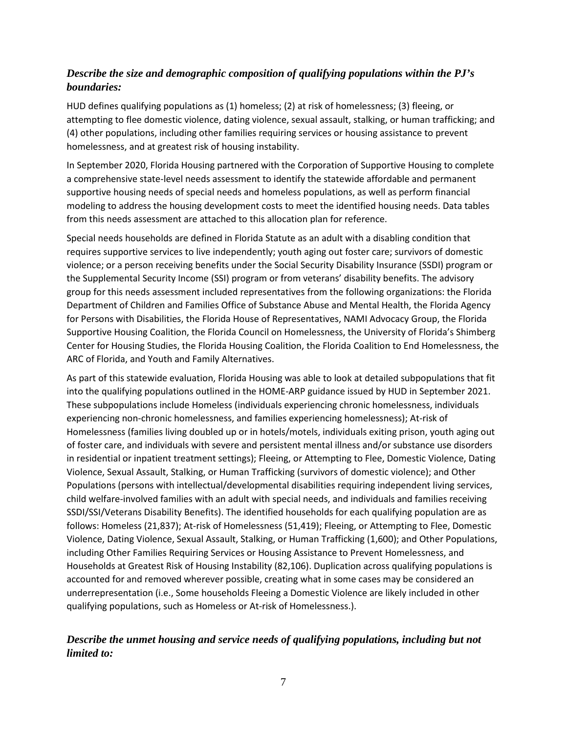## *Describe the size and demographic composition of qualifying populations within the PJ's boundaries:*

HUD defines qualifying populations as (1) homeless; (2) at risk of homelessness; (3) fleeing, or attempting to flee domestic violence, dating violence, sexual assault, stalking, or human trafficking; and (4) other populations, including other families requiring services or housing assistance to prevent homelessness, and at greatest risk of housing instability.

In September 2020, Florida Housing partnered with the Corporation of Supportive Housing to complete a comprehensive state-level needs assessment to identify the statewide affordable and permanent supportive housing needs of special needs and homeless populations, as well as perform financial modeling to address the housing development costs to meet the identified housing needs. Data tables from this needs assessment are attached to this allocation plan for reference.

Special needs households are defined in Florida Statute as an adult with a disabling condition that requires supportive services to live independently; youth aging out foster care; survivors of domestic violence; or a person receiving benefits under the Social Security Disability Insurance (SSDI) program or the Supplemental Security Income (SSI) program or from veterans' disability benefits. The advisory group for this needs assessment included representatives from the following organizations: the Florida Department of Children and Families Office of Substance Abuse and Mental Health, the Florida Agency for Persons with Disabilities, the Florida House of Representatives, NAMI Advocacy Group, the Florida Supportive Housing Coalition, the Florida Council on Homelessness, the University of Florida's Shimberg Center for Housing Studies, the Florida Housing Coalition, the Florida Coalition to End Homelessness, the ARC of Florida, and Youth and Family Alternatives.

As part of this statewide evaluation, Florida Housing was able to look at detailed subpopulations that fit into the qualifying populations outlined in the HOME-ARP guidance issued by HUD in September 2021. These subpopulations include Homeless (individuals experiencing chronic homelessness, individuals experiencing non-chronic homelessness, and families experiencing homelessness); At-risk of Homelessness (families living doubled up or in hotels/motels, individuals exiting prison, youth aging out of foster care, and individuals with severe and persistent mental illness and/or substance use disorders in residential or inpatient treatment settings); Fleeing, or Attempting to Flee, Domestic Violence, Dating Violence, Sexual Assault, Stalking, or Human Trafficking (survivors of domestic violence); and Other Populations (persons with intellectual/developmental disabilities requiring independent living services, child welfare-involved families with an adult with special needs, and individuals and families receiving SSDI/SSI/Veterans Disability Benefits). The identified households for each qualifying population are as follows: Homeless (21,837); At-risk of Homelessness (51,419); Fleeing, or Attempting to Flee, Domestic Violence, Dating Violence, Sexual Assault, Stalking, or Human Trafficking (1,600); and Other Populations, including Other Families Requiring Services or Housing Assistance to Prevent Homelessness, and Households at Greatest Risk of Housing Instability (82,106). Duplication across qualifying populations is accounted for and removed wherever possible, creating what in some cases may be considered an underrepresentation (i.e., Some households Fleeing a Domestic Violence are likely included in other qualifying populations, such as Homeless or At-risk of Homelessness.).

## *Describe the unmet housing and service needs of qualifying populations, including but not limited to:*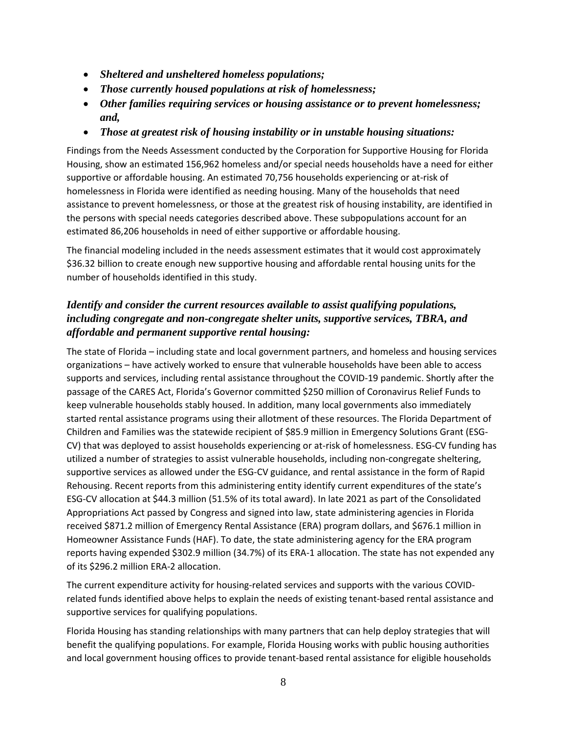- *Sheltered and unsheltered homeless populations;*
- *Those currently housed populations at risk of homelessness;*
- *Other families requiring services or housing assistance or to prevent homelessness; and,*
- *Those at greatest risk of housing instability or in unstable housing situations:*

Findings from the Needs Assessment conducted by the Corporation for Supportive Housing for Florida Housing, show an estimated 156,962 homeless and/or special needs households have a need for either supportive or affordable housing. An estimated 70,756 households experiencing or at-risk of homelessness in Florida were identified as needing housing. Many of the households that need assistance to prevent homelessness, or those at the greatest risk of housing instability, are identified in the persons with special needs categories described above. These subpopulations account for an estimated 86,206 households in need of either supportive or affordable housing.

The financial modeling included in the needs assessment estimates that it would cost approximately \$36.32 billion to create enough new supportive housing and affordable rental housing units for the number of households identified in this study.

## *Identify and consider the current resources available to assist qualifying populations, including congregate and non-congregate shelter units, supportive services, TBRA, and affordable and permanent supportive rental housing:*

The state of Florida – including state and local government partners, and homeless and housing services organizations – have actively worked to ensure that vulnerable households have been able to access supports and services, including rental assistance throughout the COVID-19 pandemic. Shortly after the passage of the CARES Act, Florida's Governor committed \$250 million of Coronavirus Relief Funds to keep vulnerable households stably housed. In addition, many local governments also immediately started rental assistance programs using their allotment of these resources. The Florida Department of Children and Families was the statewide recipient of \$85.9 million in Emergency Solutions Grant (ESG-CV) that was deployed to assist households experiencing or at-risk of homelessness. ESG-CV funding has utilized a number of strategies to assist vulnerable households, including non-congregate sheltering, supportive services as allowed under the ESG-CV guidance, and rental assistance in the form of Rapid Rehousing. Recent reports from this administering entity identify current expenditures of the state's ESG-CV allocation at \$44.3 million (51.5% of its total award). In late 2021 as part of the Consolidated Appropriations Act passed by Congress and signed into law, state administering agencies in Florida received \$871.2 million of Emergency Rental Assistance (ERA) program dollars, and \$676.1 million in Homeowner Assistance Funds (HAF). To date, the state administering agency for the ERA program reports having expended \$302.9 million (34.7%) of its ERA-1 allocation. The state has not expended any of its \$296.2 million ERA-2 allocation.

The current expenditure activity for housing-related services and supports with the various COVIDrelated funds identified above helps to explain the needs of existing tenant-based rental assistance and supportive services for qualifying populations.

Florida Housing has standing relationships with many partners that can help deploy strategies that will benefit the qualifying populations. For example, Florida Housing works with public housing authorities and local government housing offices to provide tenant-based rental assistance for eligible households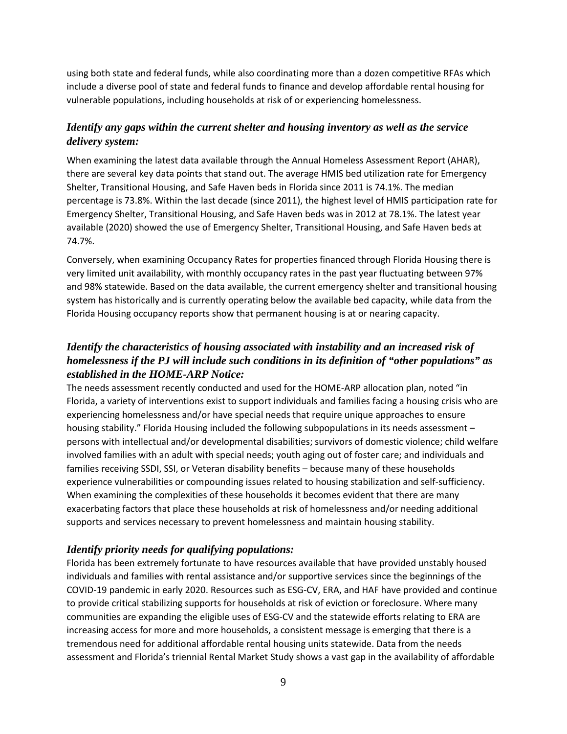using both state and federal funds, while also coordinating more than a dozen competitive RFAs which include a diverse pool of state and federal funds to finance and develop affordable rental housing for vulnerable populations, including households at risk of or experiencing homelessness.

#### *Identify any gaps within the current shelter and housing inventory as well as the service delivery system:*

When examining the latest data available through the Annual Homeless Assessment Report (AHAR), there are several key data points that stand out. The average HMIS bed utilization rate for Emergency Shelter, Transitional Housing, and Safe Haven beds in Florida since 2011 is 74.1%. The median percentage is 73.8%. Within the last decade (since 2011), the highest level of HMIS participation rate for Emergency Shelter, Transitional Housing, and Safe Haven beds was in 2012 at 78.1%. The latest year available (2020) showed the use of Emergency Shelter, Transitional Housing, and Safe Haven beds at 74.7%.

Conversely, when examining Occupancy Rates for properties financed through Florida Housing there is very limited unit availability, with monthly occupancy rates in the past year fluctuating between 97% and 98% statewide. Based on the data available, the current emergency shelter and transitional housing system has historically and is currently operating below the available bed capacity, while data from the Florida Housing occupancy reports show that permanent housing is at or nearing capacity.

## *Identify the characteristics of housing associated with instability and an increased risk of homelessness if the PJ will include such conditions in its definition of "other populations" as established in the HOME-ARP Notice:*

The needs assessment recently conducted and used for the HOME-ARP allocation plan, noted "in Florida, a variety of interventions exist to support individuals and families facing a housing crisis who are experiencing homelessness and/or have special needs that require unique approaches to ensure housing stability." Florida Housing included the following subpopulations in its needs assessment – persons with intellectual and/or developmental disabilities; survivors of domestic violence; child welfare involved families with an adult with special needs; youth aging out of foster care; and individuals and families receiving SSDI, SSI, or Veteran disability benefits – because many of these households experience vulnerabilities or compounding issues related to housing stabilization and self-sufficiency. When examining the complexities of these households it becomes evident that there are many exacerbating factors that place these households at risk of homelessness and/or needing additional supports and services necessary to prevent homelessness and maintain housing stability.

#### *Identify priority needs for qualifying populations:*

Florida has been extremely fortunate to have resources available that have provided unstably housed individuals and families with rental assistance and/or supportive services since the beginnings of the COVID-19 pandemic in early 2020. Resources such as ESG-CV, ERA, and HAF have provided and continue to provide critical stabilizing supports for households at risk of eviction or foreclosure. Where many communities are expanding the eligible uses of ESG-CV and the statewide efforts relating to ERA are increasing access for more and more households, a consistent message is emerging that there is a tremendous need for additional affordable rental housing units statewide. Data from the needs assessment and Florida's triennial Rental Market Study shows a vast gap in the availability of affordable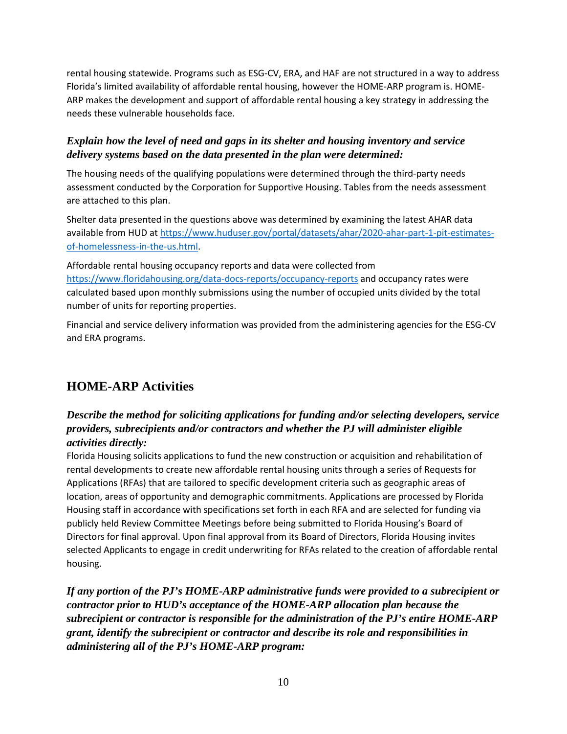rental housing statewide. Programs such as ESG-CV, ERA, and HAF are not structured in a way to address Florida's limited availability of affordable rental housing, however the HOME-ARP program is. HOME-ARP makes the development and support of affordable rental housing a key strategy in addressing the needs these vulnerable households face.

## *Explain how the level of need and gaps in its shelter and housing inventory and service delivery systems based on the data presented in the plan were determined:*

The housing needs of the qualifying populations were determined through the third-party needs assessment conducted by the Corporation for Supportive Housing. Tables from the needs assessment are attached to this plan.

Shelter data presented in the questions above was determined by examining the latest AHAR data available from HUD at [https://www.huduser.gov/portal/datasets/ahar/2020-ahar-part-1-pit-estimates](https://www.huduser.gov/portal/datasets/ahar/2020-ahar-part-1-pit-estimates-of-homelessness-in-the-us.html)[of-homelessness-in-the-us.html.](https://www.huduser.gov/portal/datasets/ahar/2020-ahar-part-1-pit-estimates-of-homelessness-in-the-us.html)

Affordable rental housing occupancy reports and data were collected from <https://www.floridahousing.org/data-docs-reports/occupancy-reports> and occupancy rates were calculated based upon monthly submissions using the number of occupied units divided by the total number of units for reporting properties.

Financial and service delivery information was provided from the administering agencies for the ESG-CV and ERA programs.

# **HOME-ARP Activities**

## *Describe the method for soliciting applications for funding and/or selecting developers, service providers, subrecipients and/or contractors and whether the PJ will administer eligible activities directly:*

Florida Housing solicits applications to fund the new construction or acquisition and rehabilitation of rental developments to create new affordable rental housing units through a series of Requests for Applications (RFAs) that are tailored to specific development criteria such as geographic areas of location, areas of opportunity and demographic commitments. Applications are processed by Florida Housing staff in accordance with specifications set forth in each RFA and are selected for funding via publicly held Review Committee Meetings before being submitted to Florida Housing's Board of Directors for final approval. Upon final approval from its Board of Directors, Florida Housing invites selected Applicants to engage in credit underwriting for RFAs related to the creation of affordable rental housing.

*If any portion of the PJ's HOME-ARP administrative funds were provided to a subrecipient or contractor prior to HUD's acceptance of the HOME-ARP allocation plan because the subrecipient or contractor is responsible for the administration of the PJ's entire HOME-ARP grant, identify the subrecipient or contractor and describe its role and responsibilities in administering all of the PJ's HOME-ARP program:*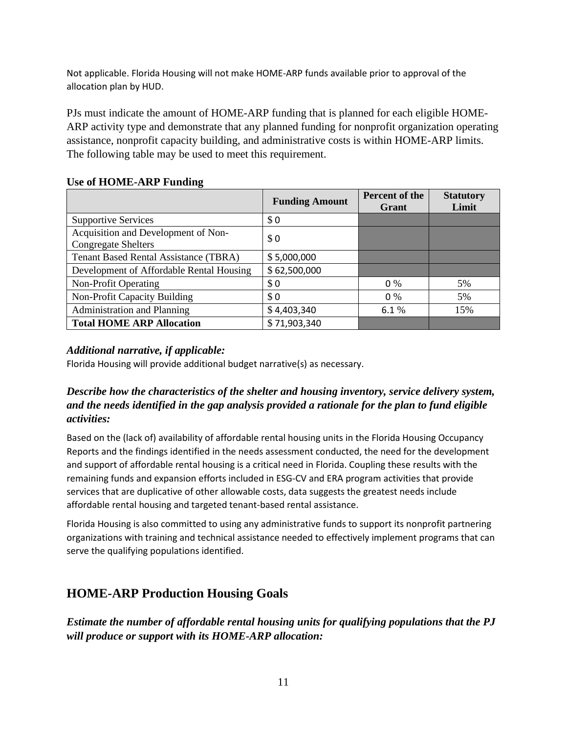Not applicable. Florida Housing will not make HOME-ARP funds available prior to approval of the allocation plan by HUD.

PJs must indicate the amount of HOME-ARP funding that is planned for each eligible HOME-ARP activity type and demonstrate that any planned funding for nonprofit organization operating assistance, nonprofit capacity building, and administrative costs is within HOME-ARP limits. The following table may be used to meet this requirement.

#### **Use of HOME-ARP Funding**

|                                                                   | <b>Funding Amount</b> | Percent of the<br>Grant | <b>Statutory</b><br>Limit |
|-------------------------------------------------------------------|-----------------------|-------------------------|---------------------------|
| <b>Supportive Services</b>                                        | \$0                   |                         |                           |
| Acquisition and Development of Non-<br><b>Congregate Shelters</b> | \$0                   |                         |                           |
| <b>Tenant Based Rental Assistance (TBRA)</b>                      | \$5,000,000           |                         |                           |
| Development of Affordable Rental Housing                          | \$62,500,000          |                         |                           |
| Non-Profit Operating                                              | \$0                   | $0\%$                   | 5%                        |
| Non-Profit Capacity Building                                      | \$0                   | $0\%$                   | 5%                        |
| <b>Administration and Planning</b>                                | \$4,403,340           | 6.1%                    | 15%                       |
| <b>Total HOME ARP Allocation</b>                                  | \$71,903,340          |                         |                           |

#### *Additional narrative, if applicable:*

Florida Housing will provide additional budget narrative(s) as necessary.

## *Describe how the characteristics of the shelter and housing inventory, service delivery system, and the needs identified in the gap analysis provided a rationale for the plan to fund eligible activities:*

Based on the (lack of) availability of affordable rental housing units in the Florida Housing Occupancy Reports and the findings identified in the needs assessment conducted, the need for the development and support of affordable rental housing is a critical need in Florida. Coupling these results with the remaining funds and expansion efforts included in ESG-CV and ERA program activities that provide services that are duplicative of other allowable costs, data suggests the greatest needs include affordable rental housing and targeted tenant-based rental assistance.

Florida Housing is also committed to using any administrative funds to support its nonprofit partnering organizations with training and technical assistance needed to effectively implement programs that can serve the qualifying populations identified.

# **HOME-ARP Production Housing Goals**

*Estimate the number of affordable rental housing units for qualifying populations that the PJ will produce or support with its HOME-ARP allocation:*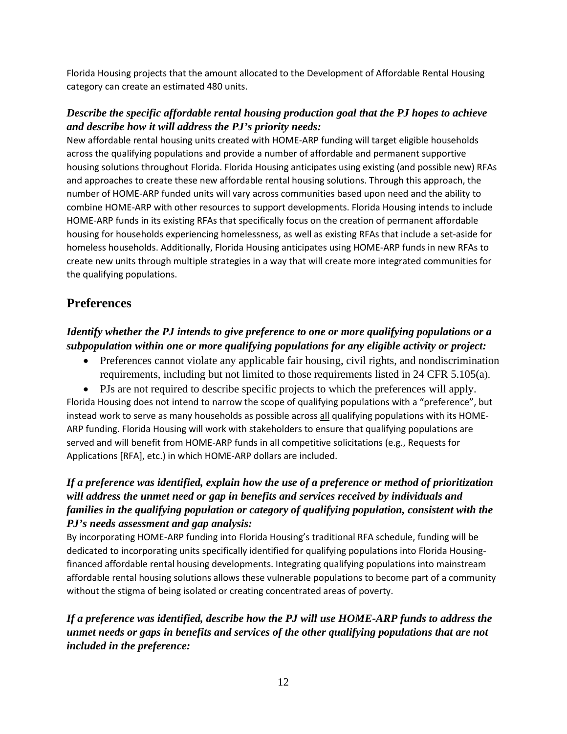Florida Housing projects that the amount allocated to the Development of Affordable Rental Housing category can create an estimated 480 units.

### *Describe the specific affordable rental housing production goal that the PJ hopes to achieve and describe how it will address the PJ's priority needs:*

New affordable rental housing units created with HOME-ARP funding will target eligible households across the qualifying populations and provide a number of affordable and permanent supportive housing solutions throughout Florida. Florida Housing anticipates using existing (and possible new) RFAs and approaches to create these new affordable rental housing solutions. Through this approach, the number of HOME-ARP funded units will vary across communities based upon need and the ability to combine HOME-ARP with other resources to support developments. Florida Housing intends to include HOME-ARP funds in its existing RFAs that specifically focus on the creation of permanent affordable housing for households experiencing homelessness, as well as existing RFAs that include a set-aside for homeless households. Additionally, Florida Housing anticipates using HOME-ARP funds in new RFAs to create new units through multiple strategies in a way that will create more integrated communities for the qualifying populations.

# **Preferences**

## *Identify whether the PJ intends to give preference to one or more qualifying populations or a subpopulation within one or more qualifying populations for any eligible activity or project:*

• Preferences cannot violate any applicable fair housing, civil rights, and nondiscrimination requirements, including but not limited to those requirements listed in 24 CFR 5.105(a).

• PJs are not required to describe specific projects to which the preferences will apply. Florida Housing does not intend to narrow the scope of qualifying populations with a "preference", but instead work to serve as many households as possible across all qualifying populations with its HOME-ARP funding. Florida Housing will work with stakeholders to ensure that qualifying populations are served and will benefit from HOME-ARP funds in all competitive solicitations (e.g., Requests for Applications [RFA], etc.) in which HOME-ARP dollars are included.

## *If a preference was identified, explain how the use of a preference or method of prioritization will address the unmet need or gap in benefits and services received by individuals and families in the qualifying population or category of qualifying population, consistent with the PJ's needs assessment and gap analysis:*

By incorporating HOME-ARP funding into Florida Housing's traditional RFA schedule, funding will be dedicated to incorporating units specifically identified for qualifying populations into Florida Housingfinanced affordable rental housing developments. Integrating qualifying populations into mainstream affordable rental housing solutions allows these vulnerable populations to become part of a community without the stigma of being isolated or creating concentrated areas of poverty.

## *If a preference was identified, describe how the PJ will use HOME-ARP funds to address the unmet needs or gaps in benefits and services of the other qualifying populations that are not included in the preference:*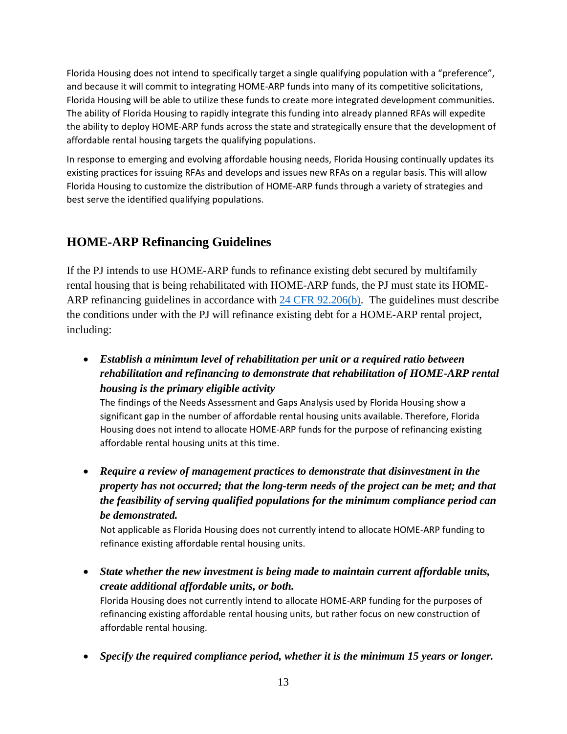Florida Housing does not intend to specifically target a single qualifying population with a "preference", and because it will commit to integrating HOME-ARP funds into many of its competitive solicitations, Florida Housing will be able to utilize these funds to create more integrated development communities. The ability of Florida Housing to rapidly integrate this funding into already planned RFAs will expedite the ability to deploy HOME-ARP funds across the state and strategically ensure that the development of affordable rental housing targets the qualifying populations.

In response to emerging and evolving affordable housing needs, Florida Housing continually updates its existing practices for issuing RFAs and develops and issues new RFAs on a regular basis. This will allow Florida Housing to customize the distribution of HOME-ARP funds through a variety of strategies and best serve the identified qualifying populations.

# **HOME-ARP Refinancing Guidelines**

If the PJ intends to use HOME-ARP funds to refinance existing debt secured by multifamily rental housing that is being rehabilitated with HOME-ARP funds, the PJ must state its HOME-ARP refinancing guidelines in accordance with [24 CFR 92.206\(b\).](https://www.ecfr.gov/cgi-bin/text-idx?SID=273620a3dcadf1c5e247ef949a4fd87c&mc=true&node=se24.1.92_1206&rgn=div8) The guidelines must describe the conditions under with the PJ will refinance existing debt for a HOME-ARP rental project, including:

• *Establish a minimum level of rehabilitation per unit or a required ratio between rehabilitation and refinancing to demonstrate that rehabilitation of HOME-ARP rental housing is the primary eligible activity* 

The findings of the Needs Assessment and Gaps Analysis used by Florida Housing show a significant gap in the number of affordable rental housing units available. Therefore, Florida Housing does not intend to allocate HOME-ARP funds for the purpose of refinancing existing affordable rental housing units at this time.

• *Require a review of management practices to demonstrate that disinvestment in the property has not occurred; that the long-term needs of the project can be met; and that the feasibility of serving qualified populations for the minimum compliance period can be demonstrated.*

Not applicable as Florida Housing does not currently intend to allocate HOME-ARP funding to refinance existing affordable rental housing units.

• *State whether the new investment is being made to maintain current affordable units, create additional affordable units, or both.*

Florida Housing does not currently intend to allocate HOME-ARP funding for the purposes of refinancing existing affordable rental housing units, but rather focus on new construction of affordable rental housing.

• *Specify the required compliance period, whether it is the minimum 15 years or longer.*